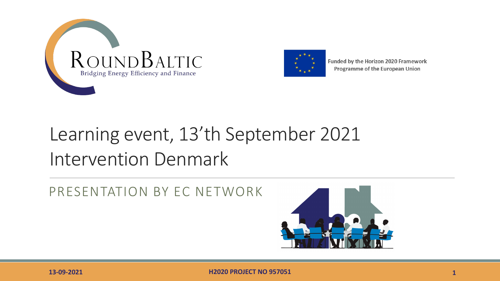



Funded by the Horizon 2020 Framework Programme of the European Union

## Learning event, 13'th September 2021 Intervention Denmark

PRESENTATION BY EC NETWORK

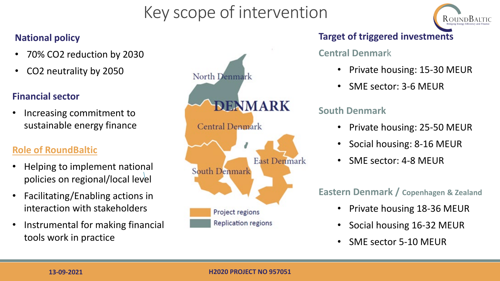## Key scope of intervention



#### **National policy**

- 70% CO2 reduction by 2030
- CO2 neutrality by 2050

#### **Financial sector**

• Increasing commitment to sustainable energy finance

#### **Role of RoundBaltic**

- Helping to implement national policies on regional/local level
- Facilitating/Enabling actions in interaction with stakeholders
- Instrumental for making financial tools work in practice



#### **Target of triggered investments**

#### **Central Denmar**k

- Private housing: 15-30 MEUR
- SME sector: 3-6 MEUR

#### **South Denmark**

- Private housing: 25-50 MEUR
- Social housing: 8-16 MEUR
- SME sector: 4-8 MEUR

#### **Eastern Denmark / Copenhagen & Zealand**

- Private housing 18-36 MEUR
- Social housing 16-32 MEUR
- SME sector 5-10 MEUR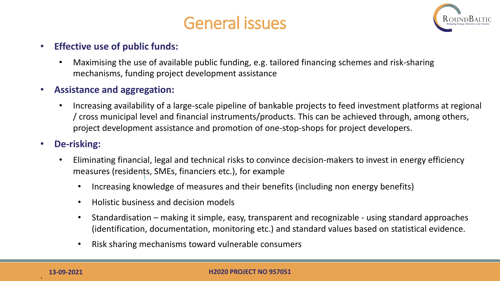



#### • **Effective use of public funds:**

• Maximising the use of available public funding, e.g. tailored financing schemes and risk-sharing mechanisms, funding project development assistance

#### • **Assistance and aggregation:**

• Increasing availability of a large-scale pipeline of bankable projects to feed investment platforms at regional / cross municipal level and financial instruments/products. This can be achieved through, among others, project development assistance and promotion of one-stop-shops for project developers.

#### • **De-risking:**

- Eliminating financial, legal and technical risks to convince decision-makers to invest in energy efficiency measures (residents, SMEs, financiers etc.), for example
	- Increasing knowledge of measures and their benefits (including non energy benefits)
	- Holistic business and decision models
	- Standardisation making it simple, easy, transparent and recognizable using standard approaches (identification, documentation, monitoring etc.) and standard values based on statistical evidence.
	- Risk sharing mechanisms toward vulnerable consumers

.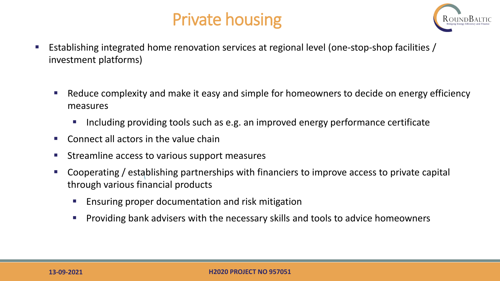## Private housing



- **E** Establishing integrated home renovation services at regional level (one-stop-shop facilities / investment platforms)
	- Reduce complexity and make it easy and simple for homeowners to decide on energy efficiency measures
		- Including providing tools such as e.g. an improved energy performance certificate
	- Connect all actors in the value chain
	- Streamline access to various support measures
	- Cooperating / establishing partnerships with financiers to improve access to private capital through various financial products
		- Ensuring proper documentation and risk mitigation
		- Providing bank advisers with the necessary skills and tools to advice homeowners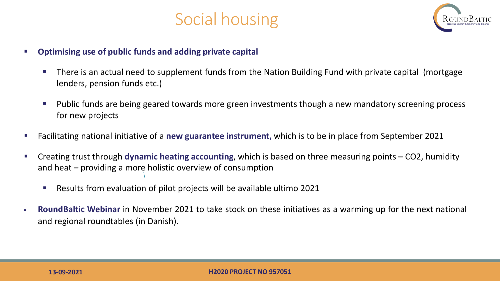



- **Optimising use of public funds and adding private capital**
	- **There is an actual need to supplement funds from the Nation Building Fund with private capital (mortgage 4)** lenders, pension funds etc.)
	- **Public funds are being geared towards more green investments though a new mandatory screening process** for new projects
- Facilitating national initiative of a **new guarantee instrument,** which is to be in place from September 2021
- Creating trust through **dynamic heating accounting**, which is based on three measuring points CO2, humidity and heat – providing a more holistic overview of consumption
	- Results from evaluation of pilot projects will be available ultimo 2021
- **RoundBaltic Webinar** in November 2021 to take stock on these initiatives as a warming up for the next national and regional roundtables (in Danish).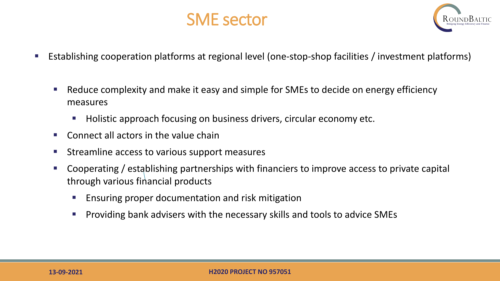



- Establishing cooperation platforms at regional level (one-stop-shop facilities / investment platforms)
	- Reduce complexity and make it easy and simple for SMEs to decide on energy efficiency measures
		- Holistic approach focusing on business drivers, circular economy etc.
	- Connect all actors in the value chain
	- Streamline access to various support measures
	- Cooperating / establishing partnerships with financiers to improve access to private capital through various financial products
		- **E** Ensuring proper documentation and risk mitigation
		- **Providing bank advisers with the necessary skills and tools to advice SMEs**